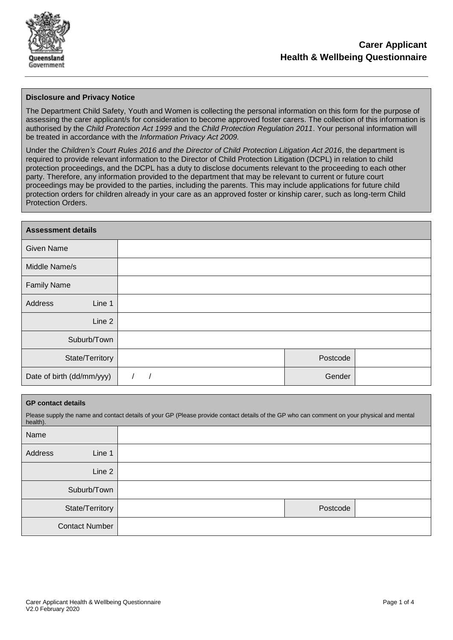

## **Disclosure and Privacy Notice**

The Department Child Safety, Youth and Women is collecting the personal information on this form for the purpose of assessing the carer applicant/s for consideration to become approved foster carers. The collection of this information is authorised by the *Child Protection Act 1999* and the *Child Protection Regulation 2011*. Your personal information will be treated in accordance with the *Information Privacy Act 2009.*

Under the *Children's Court Rules 2016 and the Director of Child Protection Litigation Act 2016*, the department is required to provide relevant information to the Director of Child Protection Litigation (DCPL) in relation to child protection proceedings, and the DCPL has a duty to disclose documents relevant to the proceeding to each other party. Therefore, any information provided to the department that may be relevant to current or future court proceedings may be provided to the parties, including the parents. This may include applications for future child protection orders for children already in your care as an approved foster or kinship carer, such as long-term Child Protection Orders.

| <b>Assessment details</b> |  |          |  |
|---------------------------|--|----------|--|
| <b>Given Name</b>         |  |          |  |
| Middle Name/s             |  |          |  |
| <b>Family Name</b>        |  |          |  |
| Address<br>Line 1         |  |          |  |
| Line 2                    |  |          |  |
| Suburb/Town               |  |          |  |
| State/Territory           |  | Postcode |  |
| Date of birth (dd/mm/yyy) |  | Gender   |  |

#### **GP contact details**

Please supply the name and contact details of your GP (Please provide contact details of the GP who can comment on your physical and mental health).

| Name    |                       |          |  |
|---------|-----------------------|----------|--|
| Address | Line 1                |          |  |
|         | Line 2                |          |  |
|         | Suburb/Town           |          |  |
|         | State/Territory       | Postcode |  |
|         | <b>Contact Number</b> |          |  |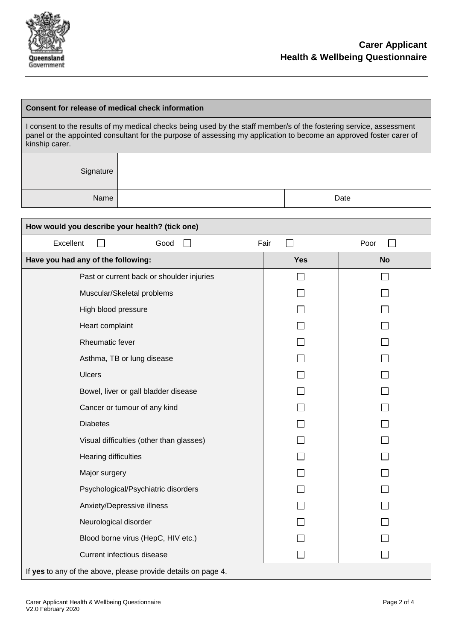

# **Consent for release of medical check information**

I consent to the results of my medical checks being used by the staff member/s of the fostering service, assessment panel or the appointed consultant for the purpose of assessing my application to become an approved foster carer of kinship carer.

> **Signature** Name Date and the Contract of the Contract of the Date Date

| How would you describe your health? (tick one)                |            |           |  |
|---------------------------------------------------------------|------------|-----------|--|
| Excellent<br>Good                                             | Fair       | Poor      |  |
| Have you had any of the following:                            | <b>Yes</b> | <b>No</b> |  |
| Past or current back or shoulder injuries                     |            |           |  |
| Muscular/Skeletal problems                                    |            |           |  |
| High blood pressure                                           |            |           |  |
| Heart complaint                                               |            |           |  |
| Rheumatic fever                                               |            |           |  |
| Asthma, TB or lung disease                                    |            |           |  |
| <b>Ulcers</b>                                                 |            |           |  |
| Bowel, liver or gall bladder disease                          |            |           |  |
| Cancer or tumour of any kind                                  |            |           |  |
| <b>Diabetes</b>                                               |            |           |  |
| Visual difficulties (other than glasses)                      |            |           |  |
| <b>Hearing difficulties</b>                                   |            |           |  |
| Major surgery                                                 |            |           |  |
| Psychological/Psychiatric disorders                           |            |           |  |
| Anxiety/Depressive illness                                    |            |           |  |
| Neurological disorder                                         |            |           |  |
| Blood borne virus (HepC, HIV etc.)                            |            |           |  |
| Current infectious disease                                    |            |           |  |
| If yes to any of the above, please provide details on page 4. |            |           |  |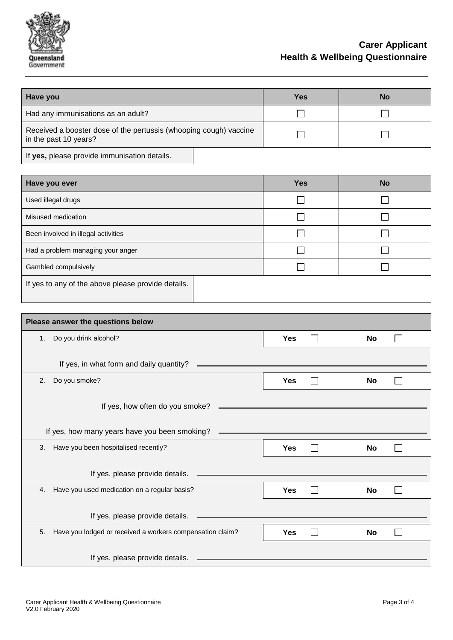

# **Carer Applicant Health & Wellbeing Questionnaire**

| Have you                                                                                   | <b>Yes</b> | <b>No</b> |
|--------------------------------------------------------------------------------------------|------------|-----------|
| Had any immunisations as an adult?                                                         |            |           |
| Received a booster dose of the pertussis (whooping cough) vaccine<br>in the past 10 years? |            |           |
| If yes, please provide immunisation details.                                               |            |           |
|                                                                                            |            |           |
| Have you ever                                                                              | <b>Yes</b> | <b>No</b> |
| Used illegal drugs                                                                         |            |           |
| Misused medication                                                                         |            |           |
| Been involved in illegal activities                                                        |            |           |
| Had a problem managing your anger                                                          |            |           |
| Gambled compulsively                                                                       |            |           |
| If yes to any of the above please provide details.                                         |            |           |

| Please answer the questions below                               |            |           |  |  |
|-----------------------------------------------------------------|------------|-----------|--|--|
| Do you drink alcohol?<br>1.                                     | <b>Yes</b> | <b>No</b> |  |  |
|                                                                 |            |           |  |  |
| If yes, in what form and daily quantity?                        |            |           |  |  |
| Do you smoke?<br>2.                                             | <b>Yes</b> | <b>No</b> |  |  |
|                                                                 |            |           |  |  |
| If yes, how often do you smoke?                                 |            |           |  |  |
|                                                                 |            |           |  |  |
| If yes, how many years have you been smoking?                   |            |           |  |  |
| Have you been hospitalised recently?<br>3.                      | <b>Yes</b> | No        |  |  |
|                                                                 |            |           |  |  |
| If yes, please provide details.                                 |            |           |  |  |
| Have you used medication on a regular basis?<br>4.              | <b>Yes</b> | <b>No</b> |  |  |
|                                                                 |            |           |  |  |
| If yes, please provide details.                                 |            |           |  |  |
| Have you lodged or received a workers compensation claim?<br>5. | <b>Yes</b> | No        |  |  |
|                                                                 |            |           |  |  |
| If yes, please provide details.                                 |            |           |  |  |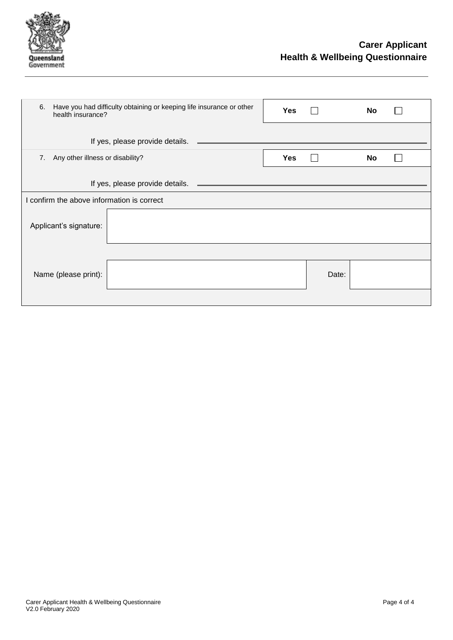

| Have you had difficulty obtaining or keeping life insurance or other<br>6.<br>health insurance? |            |       | No |  |
|-------------------------------------------------------------------------------------------------|------------|-------|----|--|
| If yes, please provide details.                                                                 |            |       |    |  |
| Any other illness or disability?<br>7.                                                          | <b>Yes</b> |       | No |  |
|                                                                                                 |            |       |    |  |
| I confirm the above information is correct                                                      |            |       |    |  |
| Applicant's signature:                                                                          |            |       |    |  |
|                                                                                                 |            |       |    |  |
| Name (please print):                                                                            |            | Date: |    |  |
|                                                                                                 |            |       |    |  |
|                                                                                                 |            |       |    |  |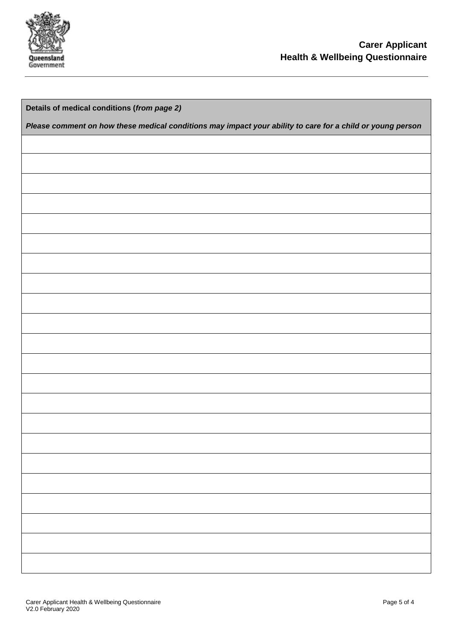

| Details of medical conditions (from page 2)                                                                |
|------------------------------------------------------------------------------------------------------------|
| Please comment on how these medical conditions may impact your ability to care for a child or young person |
|                                                                                                            |
|                                                                                                            |
|                                                                                                            |
|                                                                                                            |
|                                                                                                            |
|                                                                                                            |
|                                                                                                            |
|                                                                                                            |
|                                                                                                            |
|                                                                                                            |
|                                                                                                            |
|                                                                                                            |
|                                                                                                            |
|                                                                                                            |
|                                                                                                            |
|                                                                                                            |
|                                                                                                            |
|                                                                                                            |
|                                                                                                            |
|                                                                                                            |
|                                                                                                            |
|                                                                                                            |